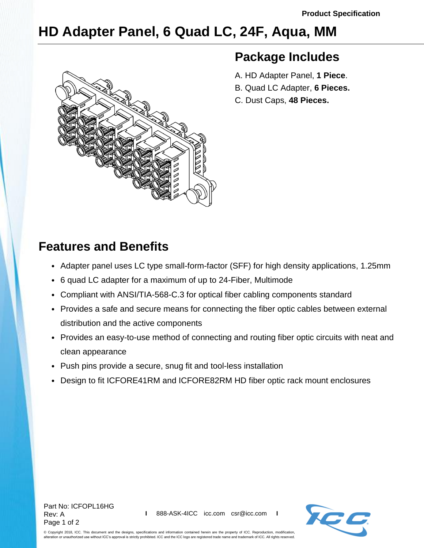# **HD Adapter Panel, 6 Quad LC, 24F, Aqua, MM**



### **Package Includes**

- A. HD Adapter Panel, **1 Piece**.
- B. Quad LC Adapter, **6 Pieces.**
- C. Dust Caps, **48 Pieces.**

## **Features and Benefits**

- Adapter panel uses LC type small-form-factor (SFF) for high density applications, 1.25mm
- 6 quad LC adapter for a maximum of up to 24-Fiber, Multimode
- Compliant with ANSI/TIA-568-C.3 for optical fiber cabling components standard
- Provides a safe and secure means for connecting the fiber optic cables between external distribution and the active components
- Provides an easy-to-use method of connecting and routing fiber optic circuits with neat and clean appearance
- Push pins provide a secure, snug fit and tool-less installation
- Design to fit ICFORE41RM and ICFORE82RM HD fiber optic rack mount enclosures



© Copyright 2018, ICC. This document and the designs, specifications and information contained herein are the property of ICC. Reproduction, modification, alteration or unauthorized use without ICC's approval is strictly prohibited. ICC and the ICC logo are registered trade name and trademark of ICC. All rights reserved.